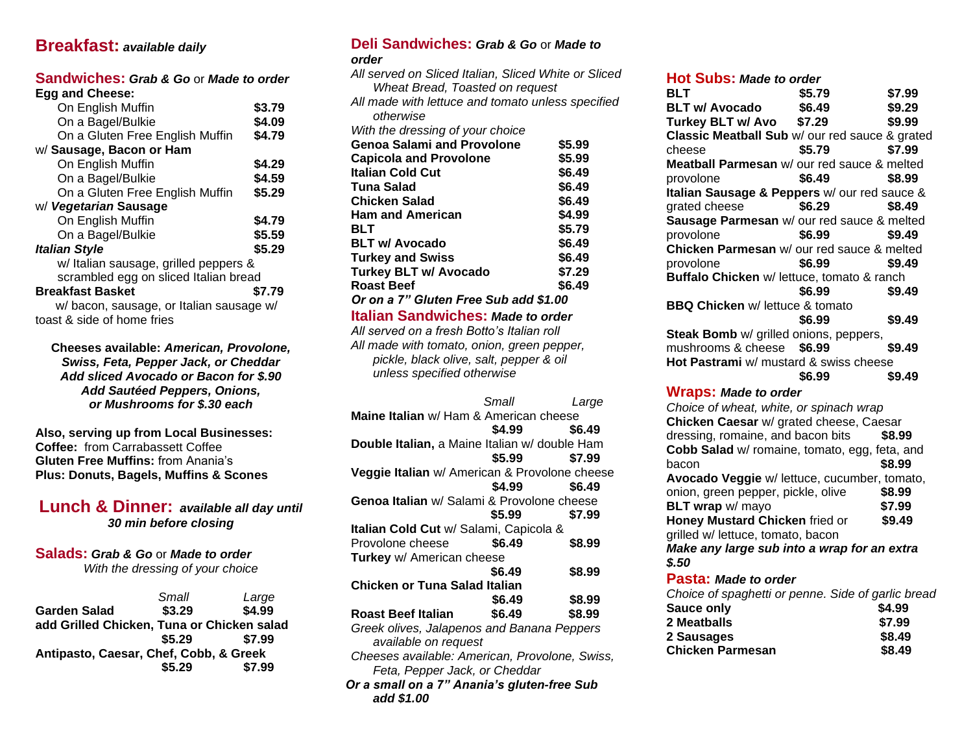# **Breakfast:** *available daily*

#### **Sandwiches:** *Grab & Go* or *Made to order* **Egg and Cheese:**

| LYY UNU VIIVVJV.                         |        |
|------------------------------------------|--------|
| On English Muffin                        | \$3.79 |
| On a Bagel/Bulkie                        | \$4.09 |
| On a Gluten Free English Muffin          | \$4.79 |
| w/ Sausage, Bacon or Ham                 |        |
| On English Muffin                        | \$4.29 |
| On a Bagel/Bulkie                        | \$4.59 |
| On a Gluten Free English Muffin          | \$5.29 |
| w/ Vegetarian Sausage                    |        |
| On English Muffin                        | \$4.79 |
| On a Bagel/Bulkie                        | \$5.59 |
| <b>Italian Style</b>                     | \$5.29 |
| w/ Italian sausage, grilled peppers &    |        |
| scrambled egg on sliced Italian bread    |        |
| <b>Breakfast Basket</b>                  | \$7.79 |
| w/ bacon, sausage, or Italian sausage w/ |        |
|                                          |        |

toast & side of home fries

**Cheeses available:** *American, Provolone, Swiss, Feta, Pepper Jack, or Cheddar Add sliced Avocado or Bacon for \$.90 Add Sautéed Peppers, Onions, or Mushrooms for \$.30 each*

**Also, serving up from Local Businesses: Coffee:** from Carrabassett Coffee **Gluten Free Muffins:** from Anania's **Plus: Donuts, Bagels, Muffins & Scones**

**Lunch & Dinner:** *available all day until 30 min before closing*

#### **Salads:** *Grab & Go* or *Made to order With the dressing of your choice*

*Small Large* **Garden Salad \$3.29 \$4.99 add Grilled Chicken, Tuna or Chicken salad \$5.29 \$7.99 \$5.29 \$7.99 Antipasto, Caesar, Chef, Cobb, & Greek \$7.99 \$5.29 \$7.99**

## **Deli Sandwiches:** *Grab & Go* or *Made to*

*order*

| All served on Sliced Italian, Sliced White or Sliced                         |        |                  |
|------------------------------------------------------------------------------|--------|------------------|
| Wheat Bread, Toasted on request                                              |        |                  |
| All made with lettuce and tomato unless specified                            |        |                  |
| otherwise                                                                    |        |                  |
| With the dressing of your choice                                             |        |                  |
| <b>Genoa Salami and Provolone</b>                                            |        | \$5.99           |
| <b>Capicola and Provolone</b>                                                |        | \$5.99           |
| <b>Italian Cold Cut</b>                                                      |        | \$6.49           |
| <b>Tuna Salad</b>                                                            |        | \$6.49           |
| <b>Chicken Salad</b>                                                         |        | \$6.49           |
| <b>Ham and American</b>                                                      |        | \$4.99           |
| BLT                                                                          |        | \$5.79           |
| <b>BLT w/ Avocado</b><br><b>Turkey and Swiss</b>                             |        | \$6.49<br>\$6.49 |
| <b>Turkey BLT w/ Avocado</b>                                                 |        | \$7.29           |
| <b>Roast Beef</b>                                                            |        | \$6.49           |
| Or on a 7" Gluten Free Sub add \$1.00                                        |        |                  |
| <b>Italian Sandwiches: Made to order</b>                                     |        |                  |
| All served on a fresh Botto's Italian roll                                   |        |                  |
| All made with tomato, onion, green pepper,                                   |        |                  |
| pickle, black olive, salt, pepper & oil                                      |        |                  |
| unless specified otherwise                                                   |        |                  |
|                                                                              |        |                  |
|                                                                              |        |                  |
|                                                                              | Small  | Large            |
| Maine Italian w/ Ham & American cheese                                       |        |                  |
|                                                                              | \$4.99 | \$6.49           |
| Double Italian, a Maine Italian w/ double Ham                                |        |                  |
|                                                                              | \$5.99 | \$7.99           |
| Veggie Italian w/ American & Provolone cheese                                |        |                  |
|                                                                              | \$4.99 | \$6.49           |
| Genoa Italian w/ Salami & Provolone cheese                                   |        |                  |
|                                                                              | \$5.99 | \$7.99           |
| Italian Cold Cut w/ Salami, Capicola &                                       |        |                  |
| Provolone cheese                                                             | \$6.49 | \$8.99           |
| Turkey w/ American cheese                                                    |        |                  |
|                                                                              | \$6.49 | \$8.99           |
| Chicken or Tuna Salad Italian                                                |        |                  |
|                                                                              | \$6.49 | \$8.99           |
| <b>Roast Beef Italian</b>                                                    | \$6.49 | \$8.99           |
| Greek olives, Jalapenos and Banana Peppers                                   |        |                  |
| available on request                                                         |        |                  |
| Cheeses available: American, Provolone, Swiss,                               |        |                  |
| Feta, Pepper Jack, or Cheddar<br>Or a small on a 7" Anania's gluten-free Sub |        |                  |

#### **Hot Subs:** *Made to order*

| BLT                                                | \$5.79 | \$7.99           |
|----------------------------------------------------|--------|------------------|
| <b>BLT w/ Avocado</b>                              | \$6.49 | \$9.29           |
| Turkey BLT w/ Avo                                  | \$7.29 | \$9.99           |
| Classic Meatball Sub w/ our red sauce & grated     |        |                  |
| cheese                                             | \$5.79 | \$7.99           |
| Meatball Parmesan w/ our red sauce & melted        |        |                  |
| provolone                                          | \$6.49 | \$8.99           |
| Italian Sausage & Peppers w/ our red sauce &       |        |                  |
| grated cheese                                      | \$6.29 | \$8.49           |
| Sausage Parmesan w/ our red sauce & melted         |        |                  |
| provolone                                          | \$6.99 | \$9.49           |
| Chicken Parmesan w/ our red sauce & melted         |        |                  |
| provolone                                          | \$6.99 | \$9.49           |
| Buffalo Chicken w/ lettuce, tomato & ranch         |        |                  |
|                                                    | \$6.99 | \$9.49           |
| <b>BBQ Chicken w/ lettuce &amp; tomato</b>         |        |                  |
|                                                    | \$6.99 | \$9.49           |
| Steak Bomb w/ grilled onions, peppers,             |        |                  |
| mushrooms & cheese                                 | \$6.99 | \$9.49           |
| Hot Pastrami w/ mustard & swiss cheese             |        |                  |
|                                                    |        |                  |
|                                                    | \$6.99 | \$9.49           |
| <b>Wraps: Made to order</b>                        |        |                  |
| Choice of wheat, white, or spinach wrap            |        |                  |
| Chicken Caesar w/ grated cheese, Caesar            |        |                  |
| dressing, romaine, and bacon bits                  |        | \$8.99           |
| Cobb Salad w/ romaine, tomato, egg, feta, and      |        |                  |
| bacon                                              |        | \$8.99           |
| Avocado Veggie w/ lettuce, cucumber, tomato,       |        |                  |
| onion, green pepper, pickle, olive                 |        | \$8.99           |
| BLT wrap w/ mayo                                   |        | \$7.99           |
| Honey Mustard Chicken fried or                     |        | \$9.49           |
| grilled w/ lettuce, tomato, bacon                  |        |                  |
| Make any large sub into a wrap for an extra        |        |                  |
| \$.50                                              |        |                  |
| Pasta: Made to order                               |        |                  |
| Choice of spaghetti or penne. Side of garlic bread |        |                  |
| Sauce only                                         |        | \$4.99           |
| 2 Meatballs                                        |        | \$7.99           |
| 2 Sausages<br><b>Chicken Parmesan</b>              |        | \$8.49<br>\$8.49 |